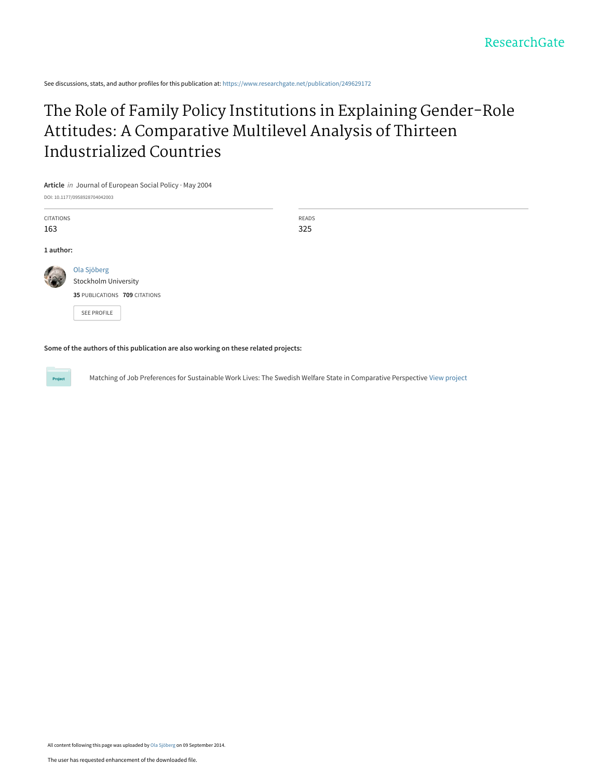See discussions, stats, and author profiles for this publication at: [https://www.researchgate.net/publication/249629172](https://www.researchgate.net/publication/249629172_The_Role_of_Family_Policy_Institutions_in_Explaining_Gender-Role_Attitudes_A_Comparative_Multilevel_Analysis_of_Thirteen_Industrialized_Countries?enrichId=rgreq-c5da9631141332760adc2a89660e23af-XXX&enrichSource=Y292ZXJQYWdlOzI0OTYyOTE3MjtBUzoxMzk1NzY3OTg2MTc2MDFAMTQxMDI4OTExMDQwOA%3D%3D&el=1_x_2&_esc=publicationCoverPdf)

# [The Role of Family Policy Institutions in Explaining Gender-Role](https://www.researchgate.net/publication/249629172_The_Role_of_Family_Policy_Institutions_in_Explaining_Gender-Role_Attitudes_A_Comparative_Multilevel_Analysis_of_Thirteen_Industrialized_Countries?enrichId=rgreq-c5da9631141332760adc2a89660e23af-XXX&enrichSource=Y292ZXJQYWdlOzI0OTYyOTE3MjtBUzoxMzk1NzY3OTg2MTc2MDFAMTQxMDI4OTExMDQwOA%3D%3D&el=1_x_3&_esc=publicationCoverPdf) Attitudes: A Comparative Multilevel Analysis of Thirteen Industrialized Countries

**Article** in Journal of European Social Policy · May 2004

DOI: 10.1177/0958928704042003

Project

| <b>CITATIONS</b><br>163 |                                                                                            | READS<br>325 |
|-------------------------|--------------------------------------------------------------------------------------------|--------------|
| 1 author:               |                                                                                            |              |
|                         | Ola Sjöberg<br>Stockholm University<br>35 PUBLICATIONS 709 CITATIONS<br><b>SEE PROFILE</b> |              |

**Some of the authors of this publication are also working on these related projects:**

Matching of Job Preferences for Sustainable Work Lives: The Swedish Welfare State in Comparative Perspective [View project](https://www.researchgate.net/project/Matching-of-Job-Preferences-for-Sustainable-Work-Lives-The-Swedish-Welfare-State-in-Comparative-Perspective?enrichId=rgreq-c5da9631141332760adc2a89660e23af-XXX&enrichSource=Y292ZXJQYWdlOzI0OTYyOTE3MjtBUzoxMzk1NzY3OTg2MTc2MDFAMTQxMDI4OTExMDQwOA%3D%3D&el=1_x_9&_esc=publicationCoverPdf)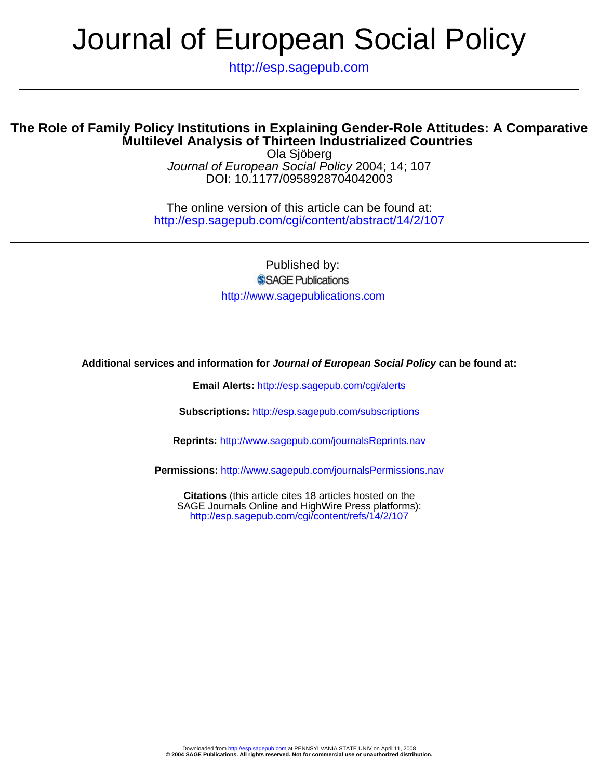# Journal of European Social Policy

http://esp.sagepub.com

## **Multilevel Analysis of Thirteen Industrialized Countries The Role of Family Policy Institutions in Explaining Gender-Role Attitudes: A Comparative**

DOI: 10.1177/0958928704042003 Journal of European Social Policy 2004; 14; 107 Ola Sjöberg

http://esp.sagepub.com/cgi/content/abstract/14/2/107 The online version of this article can be found at:

> Published by: **SSAGE Publications** http://www.sagepublications.com

**Additional services and information for Journal of European Social Policy can be found at:**

**Email Alerts:** <http://esp.sagepub.com/cgi/alerts>

**Subscriptions:** <http://esp.sagepub.com/subscriptions>

**Reprints:** <http://www.sagepub.com/journalsReprints.nav>

**Permissions:** <http://www.sagepub.com/journalsPermissions.nav>

<http://esp.sagepub.com/cgi/content/refs/14/2/107> SAGE Journals Online and HighWire Press platforms): **Citations** (this article cites 18 articles hosted on the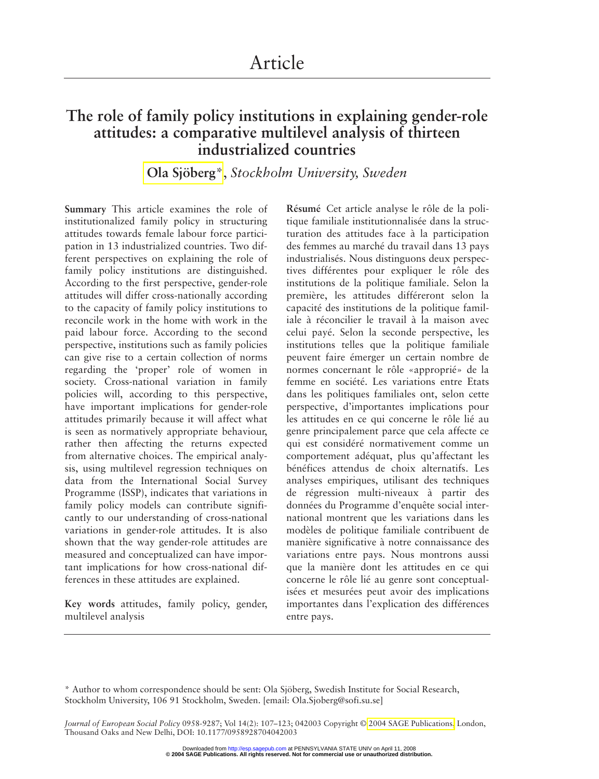# **The role of family policy institutions in explaining gender-role attitudes: a comparative multilevel analysis of thirteen industrialized countries**

**Ola Sjöberg**\*, *Stockholm University, Sweden*

**Summary** This article examines the role of institutionalized family policy in structuring attitudes towards female labour force participation in 13 industrialized countries. Two different perspectives on explaining the role of family policy institutions are distinguished. According to the first perspective, gender-role attitudes will differ cross-nationally according to the capacity of family policy institutions to reconcile work in the home with work in the paid labour force. According to the second perspective, institutions such as family policies can give rise to a certain collection of norms regarding the 'proper' role of women in society. Cross-national variation in family policies will, according to this perspective, have important implications for gender-role attitudes primarily because it will affect what is seen as normatively appropriate behaviour, rather then affecting the returns expected from alternative choices. The empirical analysis, using multilevel regression techniques on data from the International Social Survey Programme (ISSP), indicates that variations in family policy models can contribute significantly to our understanding of cross-national variations in gender-role attitudes. It is also shown that the way gender-role attitudes are measured and conceptualized can have important implications for how cross-national differences in these attitudes are explained.

**Key words** attitudes, family policy, gender, multilevel analysis

**Résumé** Cet article analyse le rôle de la politique familiale institutionnalisée dans la structuration des attitudes face à la participation des femmes au marché du travail dans 13 pays industrialisés. Nous distinguons deux perspectives différentes pour expliquer le rôle des institutions de la politique familiale. Selon la première, les attitudes différeront selon la capacité des institutions de la politique familiale à réconcilier le travail à la maison avec celui payé. Selon la seconde perspective, les institutions telles que la politique familiale peuvent faire émerger un certain nombre de normes concernant le rôle «approprié» de la femme en société. Les variations entre Etats dans les politiques familiales ont, selon cette perspective, d'importantes implications pour les attitudes en ce qui concerne le rôle lié au genre principalement parce que cela affecte ce qui est considéré normativement comme un comportement adéquat, plus qu'affectant les bénéfices attendus de choix alternatifs. Les analyses empiriques, utilisant des techniques de régression multi-niveaux à partir des données du Programme d'enquête social international montrent que les variations dans les modèles de politique familiale contribuent de manière significative à notre connaissance des variations entre pays. Nous montrons aussi que la manière dont les attitudes en ce qui concerne le rôle lié au genre sont conceptualisées et mesurées peut avoir des implications importantes dans l'explication des différences entre pays.

**© 2004 SAGE Publications. All rights reserved. Not for commercial use or unauthorized distribution.** Downloaded from<http://esp.sagepub.com>at PENNSYLVANIA STATE UNIV on April 11, 2008

<sup>\*</sup> Author to whom correspondence should be sent: Ola Sjöberg, Swedish Institute for Social Research, Stockholm University, 106 91 Stockholm, Sweden. [email: Ola.Sjoberg@sofi.su.se]

*Journal of European Social Policy* 0958-9287; Vol 14(2): 107–123; 042003 Copyright © [2004 SAGE Publications,](www.sagepublications.com) London, Thousand Oaks and New Delhi, DOI: 10.1177/0958928704042003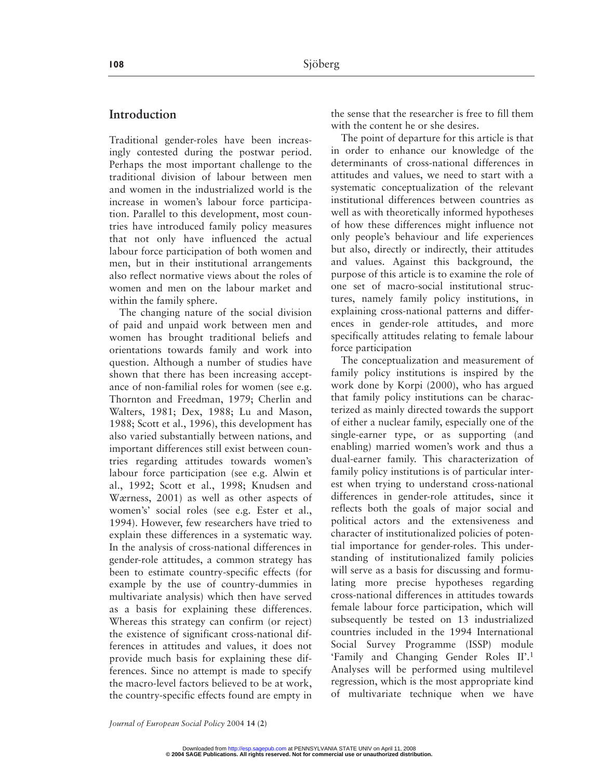#### **Introduction**

Traditional gender-roles have been increasingly contested during the postwar period. Perhaps the most important challenge to the traditional division of labour between men and women in the industrialized world is the increase in women's labour force participation. Parallel to this development, most countries have introduced family policy measures that not only have influenced the actual labour force participation of both women and men, but in their institutional arrangements also reflect normative views about the roles of women and men on the labour market and within the family sphere.

The changing nature of the social division of paid and unpaid work between men and women has brought traditional beliefs and orientations towards family and work into question. Although a number of studies have shown that there has been increasing acceptance of non-familial roles for women (see e.g. Thornton and Freedman, 1979; Cherlin and Walters, 1981; Dex, 1988; Lu and Mason, 1988; Scott et al., 1996), this development has also varied substantially between nations, and important differences still exist between countries regarding attitudes towards women's labour force participation (see e.g. Alwin et al., 1992; Scott et al., 1998; Knudsen and Wærness, 2001) as well as other aspects of women's' social roles (see e.g. Ester et al., 1994). However, few researchers have tried to explain these differences in a systematic way. In the analysis of cross-national differences in gender-role attitudes, a common strategy has been to estimate country-specific effects (for example by the use of country-dummies in multivariate analysis) which then have served as a basis for explaining these differences. Whereas this strategy can confirm (or reject) the existence of significant cross-national differences in attitudes and values, it does not provide much basis for explaining these differences. Since no attempt is made to specify the macro-level factors believed to be at work, the country-specific effects found are empty in the sense that the researcher is free to fill them with the content he or she desires.

The point of departure for this article is that in order to enhance our knowledge of the determinants of cross-national differences in attitudes and values, we need to start with a systematic conceptualization of the relevant institutional differences between countries as well as with theoretically informed hypotheses of how these differences might influence not only people's behaviour and life experiences but also, directly or indirectly, their attitudes and values. Against this background, the purpose of this article is to examine the role of one set of macro-social institutional structures, namely family policy institutions, in explaining cross-national patterns and differences in gender-role attitudes, and more specifically attitudes relating to female labour force participation

The conceptualization and measurement of family policy institutions is inspired by the work done by Korpi (2000), who has argued that family policy institutions can be characterized as mainly directed towards the support of either a nuclear family, especially one of the single-earner type, or as supporting (and enabling) married women's work and thus a dual-earner family. This characterization of family policy institutions is of particular interest when trying to understand cross-national differences in gender-role attitudes, since it reflects both the goals of major social and political actors and the extensiveness and character of institutionalized policies of potential importance for gender-roles. This understanding of institutionalized family policies will serve as a basis for discussing and formulating more precise hypotheses regarding cross-national differences in attitudes towards female labour force participation, which will subsequently be tested on 13 industrialized countries included in the 1994 International Social Survey Programme (ISSP) module 'Family and Changing Gender Roles II'.1 Analyses will be performed using multilevel regression, which is the most appropriate kind of multivariate technique when we have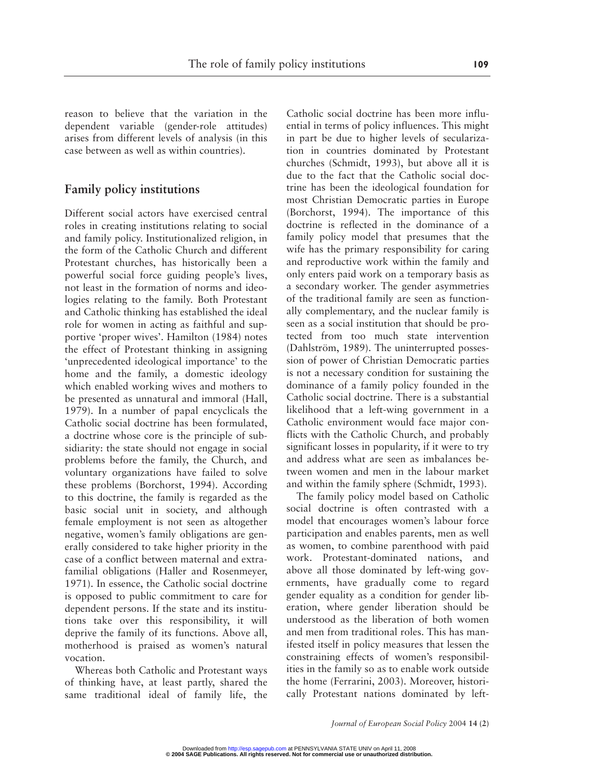reason to believe that the variation in the dependent variable (gender-role attitudes) arises from different levels of analysis (in this case between as well as within countries).

#### **Family policy institutions**

Different social actors have exercised central roles in creating institutions relating to social and family policy. Institutionalized religion, in the form of the Catholic Church and different Protestant churches, has historically been a powerful social force guiding people's lives, not least in the formation of norms and ideologies relating to the family. Both Protestant and Catholic thinking has established the ideal role for women in acting as faithful and supportive 'proper wives'. Hamilton (1984) notes the effect of Protestant thinking in assigning 'unprecedented ideological importance' to the home and the family, a domestic ideology which enabled working wives and mothers to be presented as unnatural and immoral (Hall, 1979). In a number of papal encyclicals the Catholic social doctrine has been formulated, a doctrine whose core is the principle of subsidiarity: the state should not engage in social problems before the family, the Church, and voluntary organizations have failed to solve these problems (Borchorst, 1994). According to this doctrine, the family is regarded as the basic social unit in society, and although female employment is not seen as altogether negative, women's family obligations are generally considered to take higher priority in the case of a conflict between maternal and extrafamilial obligations (Haller and Rosenmeyer, 1971). In essence, the Catholic social doctrine is opposed to public commitment to care for dependent persons. If the state and its institutions take over this responsibility, it will deprive the family of its functions. Above all, motherhood is praised as women's natural vocation.

Whereas both Catholic and Protestant ways of thinking have, at least partly, shared the same traditional ideal of family life, the

Catholic social doctrine has been more influential in terms of policy influences. This might in part be due to higher levels of secularization in countries dominated by Protestant churches (Schmidt, 1993), but above all it is due to the fact that the Catholic social doctrine has been the ideological foundation for most Christian Democratic parties in Europe (Borchorst, 1994). The importance of this doctrine is reflected in the dominance of a family policy model that presumes that the wife has the primary responsibility for caring and reproductive work within the family and only enters paid work on a temporary basis as a secondary worker. The gender asymmetries of the traditional family are seen as functionally complementary, and the nuclear family is seen as a social institution that should be protected from too much state intervention (Dahlström, 1989). The uninterrupted possession of power of Christian Democratic parties is not a necessary condition for sustaining the dominance of a family policy founded in the Catholic social doctrine. There is a substantial likelihood that a left-wing government in a Catholic environment would face major conflicts with the Catholic Church, and probably significant losses in popularity, if it were to try and address what are seen as imbalances between women and men in the labour market and within the family sphere (Schmidt, 1993).

The family policy model based on Catholic social doctrine is often contrasted with a model that encourages women's labour force participation and enables parents, men as well as women, to combine parenthood with paid work. Protestant-dominated nations, and above all those dominated by left-wing governments, have gradually come to regard gender equality as a condition for gender liberation, where gender liberation should be understood as the liberation of both women and men from traditional roles. This has manifested itself in policy measures that lessen the constraining effects of women's responsibilities in the family so as to enable work outside the home (Ferrarini, 2003). Moreover, historically Protestant nations dominated by left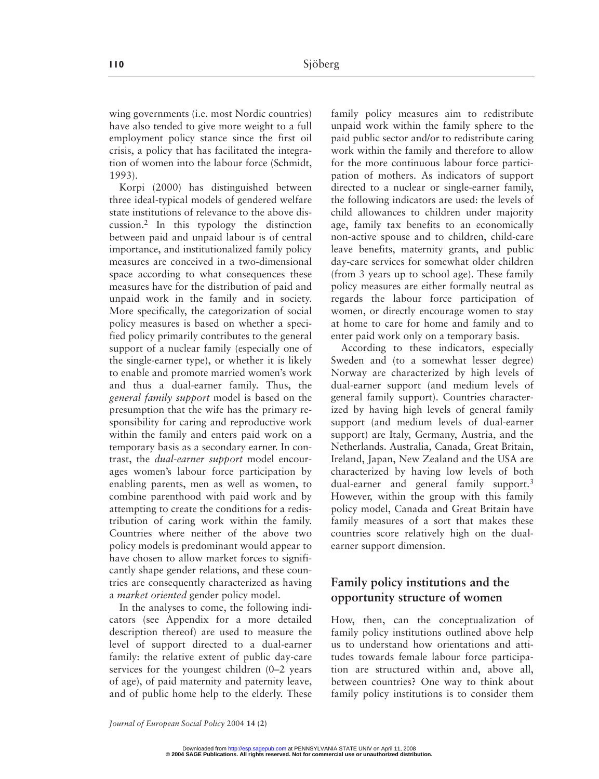wing governments (i.e. most Nordic countries) have also tended to give more weight to a full employment policy stance since the first oil crisis, a policy that has facilitated the integration of women into the labour force (Schmidt, 1993).

Korpi (2000) has distinguished between three ideal-typical models of gendered welfare state institutions of relevance to the above discussion.2 In this typology the distinction between paid and unpaid labour is of central importance, and institutionalized family policy measures are conceived in a two-dimensional space according to what consequences these measures have for the distribution of paid and unpaid work in the family and in society. More specifically, the categorization of social policy measures is based on whether a specified policy primarily contributes to the general support of a nuclear family (especially one of the single-earner type), or whether it is likely to enable and promote married women's work and thus a dual-earner family. Thus, the *general family support* model is based on the presumption that the wife has the primary responsibility for caring and reproductive work within the family and enters paid work on a temporary basis as a secondary earner. In contrast, the *dual-earner support* model encourages women's labour force participation by enabling parents, men as well as women, to combine parenthood with paid work and by attempting to create the conditions for a redistribution of caring work within the family. Countries where neither of the above two policy models is predominant would appear to have chosen to allow market forces to significantly shape gender relations, and these countries are consequently characterized as having a *market oriented* gender policy model.

In the analyses to come, the following indicators (see Appendix for a more detailed description thereof) are used to measure the level of support directed to a dual-earner family: the relative extent of public day-care services for the youngest children (0–2 years of age), of paid maternity and paternity leave, and of public home help to the elderly. These family policy measures aim to redistribute unpaid work within the family sphere to the paid public sector and/or to redistribute caring work within the family and therefore to allow for the more continuous labour force participation of mothers. As indicators of support directed to a nuclear or single-earner family, the following indicators are used: the levels of child allowances to children under majority age, family tax benefits to an economically non-active spouse and to children, child-care leave benefits, maternity grants, and public day-care services for somewhat older children (from 3 years up to school age). These family policy measures are either formally neutral as regards the labour force participation of women, or directly encourage women to stay at home to care for home and family and to enter paid work only on a temporary basis.

According to these indicators, especially Sweden and (to a somewhat lesser degree) Norway are characterized by high levels of dual-earner support (and medium levels of general family support). Countries characterized by having high levels of general family support (and medium levels of dual-earner support) are Italy, Germany, Austria, and the Netherlands. Australia, Canada, Great Britain, Ireland, Japan, New Zealand and the USA are characterized by having low levels of both dual-earner and general family support.3 However, within the group with this family policy model, Canada and Great Britain have family measures of a sort that makes these countries score relatively high on the dualearner support dimension.

#### **Family policy institutions and the opportunity structure of women**

How, then, can the conceptualization of family policy institutions outlined above help us to understand how orientations and attitudes towards female labour force participation are structured within and, above all, between countries? One way to think about family policy institutions is to consider them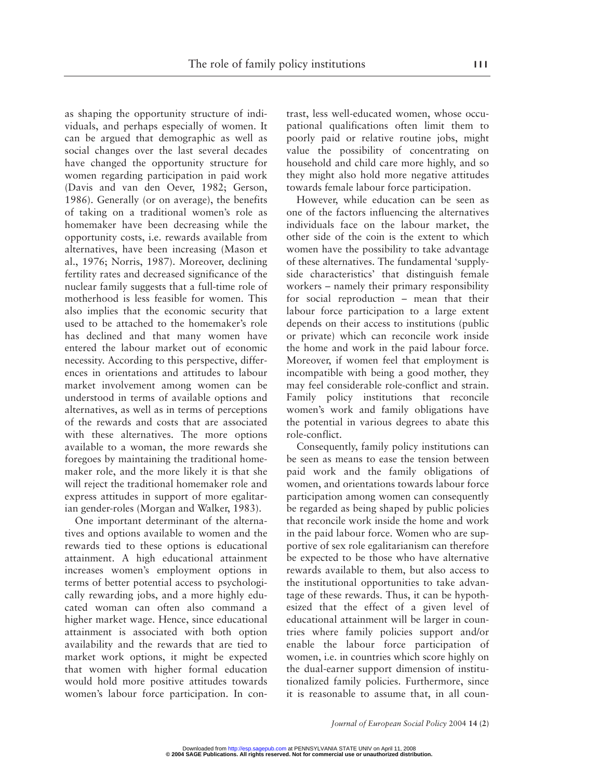as shaping the opportunity structure of individuals, and perhaps especially of women. It can be argued that demographic as well as social changes over the last several decades have changed the opportunity structure for women regarding participation in paid work (Davis and van den Oever, 1982; Gerson, 1986). Generally (or on average), the benefits of taking on a traditional women's role as homemaker have been decreasing while the opportunity costs, i.e. rewards available from alternatives, have been increasing (Mason et al., 1976; Norris, 1987). Moreover, declining fertility rates and decreased significance of the nuclear family suggests that a full-time role of motherhood is less feasible for women. This also implies that the economic security that used to be attached to the homemaker's role has declined and that many women have entered the labour market out of economic necessity. According to this perspective, differences in orientations and attitudes to labour market involvement among women can be understood in terms of available options and alternatives, as well as in terms of perceptions of the rewards and costs that are associated with these alternatives. The more options available to a woman, the more rewards she foregoes by maintaining the traditional homemaker role, and the more likely it is that she will reject the traditional homemaker role and express attitudes in support of more egalitarian gender-roles (Morgan and Walker, 1983).

One important determinant of the alternatives and options available to women and the rewards tied to these options is educational attainment. A high educational attainment increases women's employment options in terms of better potential access to psychologically rewarding jobs, and a more highly educated woman can often also command a higher market wage. Hence, since educational attainment is associated with both option availability and the rewards that are tied to market work options, it might be expected that women with higher formal education would hold more positive attitudes towards women's labour force participation. In contrast, less well-educated women, whose occupational qualifications often limit them to poorly paid or relative routine jobs, might value the possibility of concentrating on household and child care more highly, and so they might also hold more negative attitudes towards female labour force participation.

However, while education can be seen as one of the factors influencing the alternatives individuals face on the labour market, the other side of the coin is the extent to which women have the possibility to take advantage of these alternatives. The fundamental 'supplyside characteristics' that distinguish female workers – namely their primary responsibility for social reproduction – mean that their labour force participation to a large extent depends on their access to institutions (public or private) which can reconcile work inside the home and work in the paid labour force. Moreover, if women feel that employment is incompatible with being a good mother, they may feel considerable role-conflict and strain. Family policy institutions that reconcile women's work and family obligations have the potential in various degrees to abate this role-conflict.

Consequently, family policy institutions can be seen as means to ease the tension between paid work and the family obligations of women, and orientations towards labour force participation among women can consequently be regarded as being shaped by public policies that reconcile work inside the home and work in the paid labour force. Women who are supportive of sex role egalitarianism can therefore be expected to be those who have alternative rewards available to them, but also access to the institutional opportunities to take advantage of these rewards. Thus, it can be hypothesized that the effect of a given level of educational attainment will be larger in countries where family policies support and/or enable the labour force participation of women, i.e. in countries which score highly on the dual-earner support dimension of institutionalized family policies. Furthermore, since it is reasonable to assume that, in all coun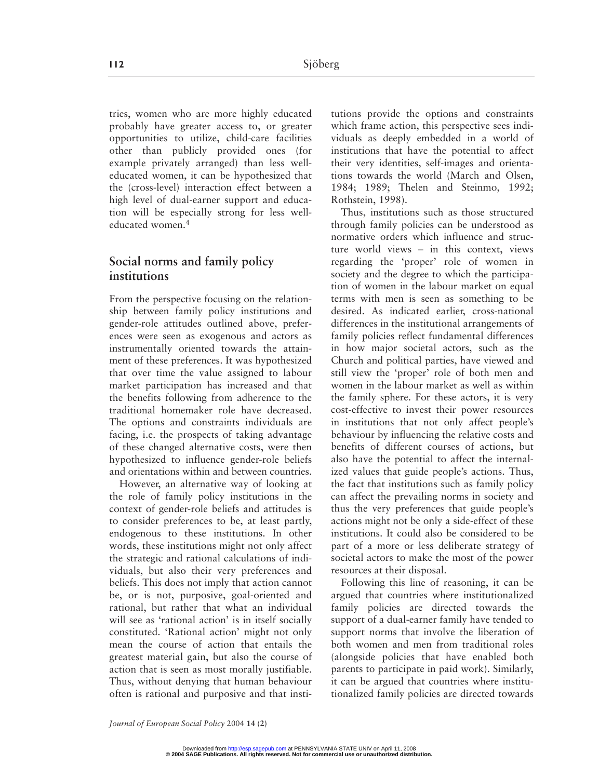tries, women who are more highly educated probably have greater access to, or greater opportunities to utilize, child-care facilities other than publicly provided ones (for example privately arranged) than less welleducated women, it can be hypothesized that the (cross-level) interaction effect between a high level of dual-earner support and education will be especially strong for less welleducated women.4

#### **Social norms and family policy institutions**

From the perspective focusing on the relationship between family policy institutions and gender-role attitudes outlined above, preferences were seen as exogenous and actors as instrumentally oriented towards the attainment of these preferences. It was hypothesized that over time the value assigned to labour market participation has increased and that the benefits following from adherence to the traditional homemaker role have decreased. The options and constraints individuals are facing, i.e. the prospects of taking advantage of these changed alternative costs, were then hypothesized to influence gender-role beliefs and orientations within and between countries.

However, an alternative way of looking at the role of family policy institutions in the context of gender-role beliefs and attitudes is to consider preferences to be, at least partly, endogenous to these institutions. In other words, these institutions might not only affect the strategic and rational calculations of individuals, but also their very preferences and beliefs. This does not imply that action cannot be, or is not, purposive, goal-oriented and rational, but rather that what an individual will see as 'rational action' is in itself socially constituted. 'Rational action' might not only mean the course of action that entails the greatest material gain, but also the course of action that is seen as most morally justifiable. Thus, without denying that human behaviour often is rational and purposive and that institutions provide the options and constraints which frame action, this perspective sees individuals as deeply embedded in a world of institutions that have the potential to affect their very identities, self-images and orientations towards the world (March and Olsen, 1984; 1989; Thelen and Steinmo, 1992; Rothstein, 1998).

Thus, institutions such as those structured through family policies can be understood as normative orders which influence and structure world views – in this context, views regarding the 'proper' role of women in society and the degree to which the participation of women in the labour market on equal terms with men is seen as something to be desired. As indicated earlier, cross-national differences in the institutional arrangements of family policies reflect fundamental differences in how major societal actors, such as the Church and political parties, have viewed and still view the 'proper' role of both men and women in the labour market as well as within the family sphere. For these actors, it is very cost-effective to invest their power resources in institutions that not only affect people's behaviour by influencing the relative costs and benefits of different courses of actions, but also have the potential to affect the internalized values that guide people's actions. Thus, the fact that institutions such as family policy can affect the prevailing norms in society and thus the very preferences that guide people's actions might not be only a side-effect of these institutions. It could also be considered to be part of a more or less deliberate strategy of societal actors to make the most of the power resources at their disposal.

Following this line of reasoning, it can be argued that countries where institutionalized family policies are directed towards the support of a dual-earner family have tended to support norms that involve the liberation of both women and men from traditional roles (alongside policies that have enabled both parents to participate in paid work). Similarly, it can be argued that countries where institutionalized family policies are directed towards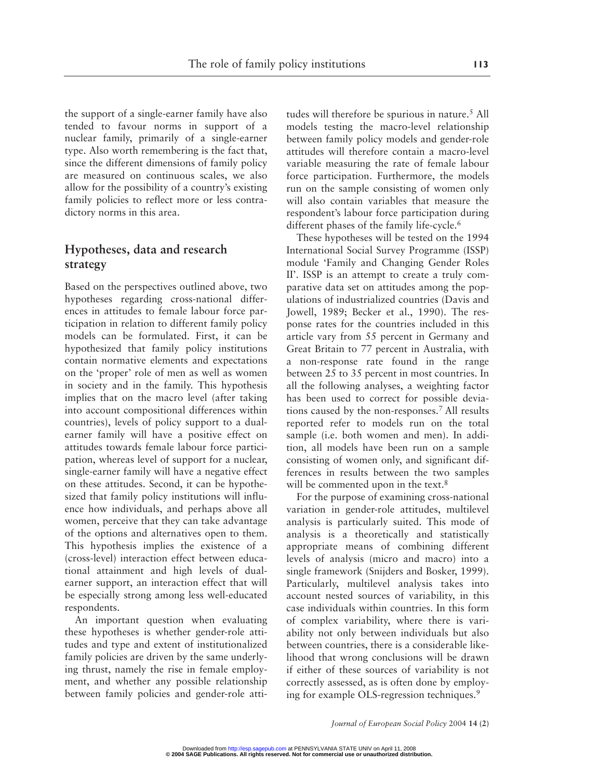the support of a single-earner family have also tended to favour norms in support of a nuclear family, primarily of a single-earner type. Also worth remembering is the fact that, since the different dimensions of family policy are measured on continuous scales, we also allow for the possibility of a country's existing family policies to reflect more or less contradictory norms in this area.

#### **Hypotheses, data and research strategy**

Based on the perspectives outlined above, two hypotheses regarding cross-national differences in attitudes to female labour force participation in relation to different family policy models can be formulated. First, it can be hypothesized that family policy institutions contain normative elements and expectations on the 'proper' role of men as well as women in society and in the family. This hypothesis implies that on the macro level (after taking into account compositional differences within countries), levels of policy support to a dualearner family will have a positive effect on attitudes towards female labour force participation, whereas level of support for a nuclear, single-earner family will have a negative effect on these attitudes. Second, it can be hypothesized that family policy institutions will influence how individuals, and perhaps above all women, perceive that they can take advantage of the options and alternatives open to them. This hypothesis implies the existence of a (cross-level) interaction effect between educational attainment and high levels of dualearner support, an interaction effect that will be especially strong among less well-educated respondents.

An important question when evaluating these hypotheses is whether gender-role attitudes and type and extent of institutionalized family policies are driven by the same underlying thrust, namely the rise in female employment, and whether any possible relationship between family policies and gender-role attitudes will therefore be spurious in nature.<sup>5</sup> All models testing the macro-level relationship between family policy models and gender-role attitudes will therefore contain a macro-level variable measuring the rate of female labour force participation. Furthermore, the models run on the sample consisting of women only will also contain variables that measure the respondent's labour force participation during different phases of the family life-cycle.<sup>6</sup>

These hypotheses will be tested on the 1994 International Social Survey Programme (ISSP) module 'Family and Changing Gender Roles II'. ISSP is an attempt to create a truly comparative data set on attitudes among the populations of industrialized countries (Davis and Jowell, 1989; Becker et al., 1990). The response rates for the countries included in this article vary from 55 percent in Germany and Great Britain to 77 percent in Australia, with a non-response rate found in the range between 25 to 35 percent in most countries. In all the following analyses, a weighting factor has been used to correct for possible deviations caused by the non-responses.7 All results reported refer to models run on the total sample (i.e. both women and men). In addition, all models have been run on a sample consisting of women only, and significant differences in results between the two samples will be commented upon in the text.<sup>8</sup>

For the purpose of examining cross-national variation in gender-role attitudes, multilevel analysis is particularly suited. This mode of analysis is a theoretically and statistically appropriate means of combining different levels of analysis (micro and macro) into a single framework (Snijders and Bosker, 1999). Particularly, multilevel analysis takes into account nested sources of variability, in this case individuals within countries. In this form of complex variability, where there is variability not only between individuals but also between countries, there is a considerable likelihood that wrong conclusions will be drawn if either of these sources of variability is not correctly assessed, as is often done by employing for example OLS-regression techniques.9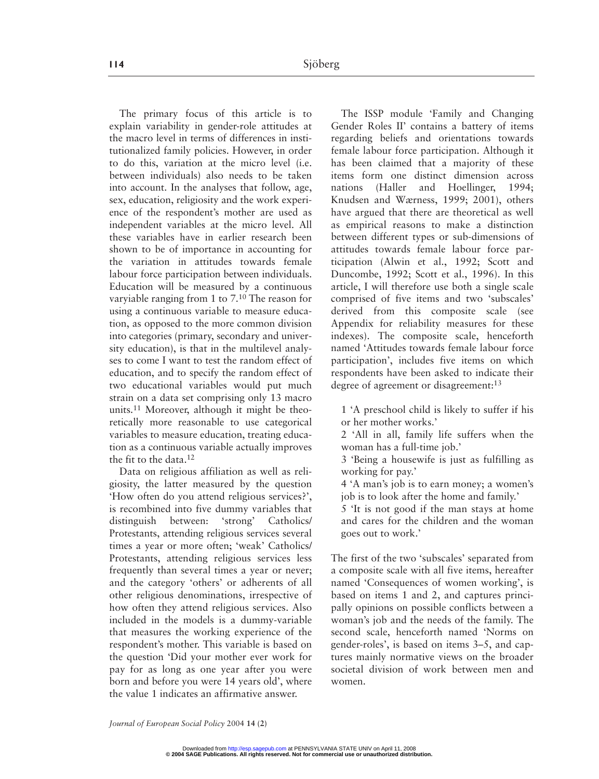The primary focus of this article is to explain variability in gender-role attitudes at the macro level in terms of differences in institutionalized family policies. However, in order to do this, variation at the micro level (i.e. between individuals) also needs to be taken into account. In the analyses that follow, age, sex, education, religiosity and the work experience of the respondent's mother are used as independent variables at the micro level. All these variables have in earlier research been shown to be of importance in accounting for the variation in attitudes towards female labour force participation between individuals. Education will be measured by a continuous varyiable ranging from 1 to 7.10 The reason for using a continuous variable to measure education, as opposed to the more common division into categories (primary, secondary and university education), is that in the multilevel analyses to come I want to test the random effect of education, and to specify the random effect of two educational variables would put much strain on a data set comprising only 13 macro units.11 Moreover, although it might be theoretically more reasonable to use categorical variables to measure education, treating education as a continuous variable actually improves the fit to the data.12

Data on religious affiliation as well as religiosity, the latter measured by the question 'How often do you attend religious services?', is recombined into five dummy variables that distinguish between: 'strong' Catholics/ Protestants, attending religious services several times a year or more often; 'weak' Catholics/ Protestants, attending religious services less frequently than several times a year or never; and the category 'others' or adherents of all other religious denominations, irrespective of how often they attend religious services. Also included in the models is a dummy-variable that measures the working experience of the respondent's mother. This variable is based on the question 'Did your mother ever work for pay for as long as one year after you were born and before you were 14 years old', where the value 1 indicates an affirmative answer.

The ISSP module 'Family and Changing Gender Roles II' contains a battery of items regarding beliefs and orientations towards female labour force participation. Although it has been claimed that a majority of these items form one distinct dimension across nations (Haller and Hoellinger, 1994; Knudsen and Wærness, 1999; 2001), others have argued that there are theoretical as well as empirical reasons to make a distinction between different types or sub-dimensions of attitudes towards female labour force participation (Alwin et al., 1992; Scott and Duncombe, 1992; Scott et al., 1996). In this article, I will therefore use both a single scale comprised of five items and two 'subscales' derived from this composite scale (see Appendix for reliability measures for these indexes). The composite scale, henceforth named 'Attitudes towards female labour force participation', includes five items on which respondents have been asked to indicate their degree of agreement or disagreement:<sup>13</sup>

1 'A preschool child is likely to suffer if his or her mother works.'

2 'All in all, family life suffers when the woman has a full-time job.'

3 'Being a housewife is just as fulfilling as working for pay.'

4 'A man's job is to earn money; a women's job is to look after the home and family.'

5 'It is not good if the man stays at home and cares for the children and the woman goes out to work.'

The first of the two 'subscales' separated from a composite scale with all five items, hereafter named 'Consequences of women working', is based on items 1 and 2, and captures principally opinions on possible conflicts between a woman's job and the needs of the family. The second scale, henceforth named 'Norms on gender-roles', is based on items 3–5, and captures mainly normative views on the broader societal division of work between men and women.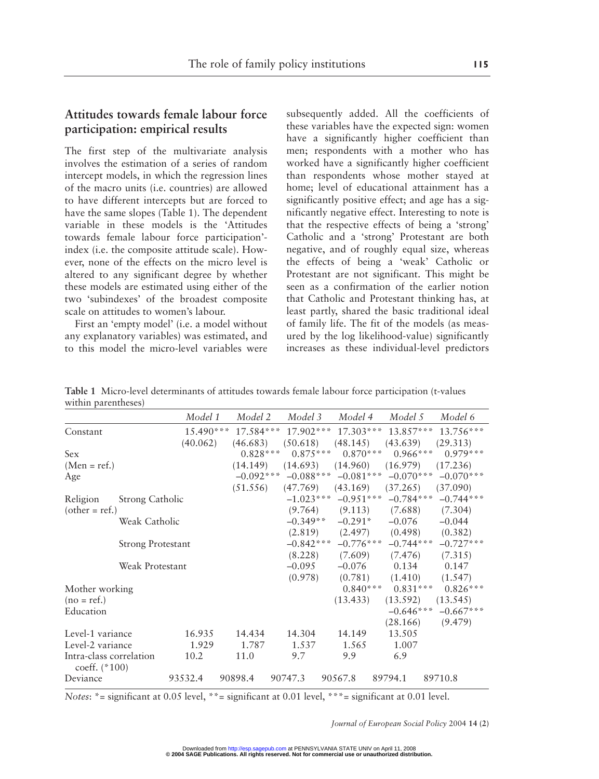### **Attitudes towards female labour force participation: empirical results**

The first step of the multivariate analysis involves the estimation of a series of random intercept models, in which the regression lines of the macro units (i.e. countries) are allowed to have different intercepts but are forced to have the same slopes (Table 1). The dependent variable in these models is the 'Attitudes towards female labour force participation' index (i.e. the composite attitude scale). However, none of the effects on the micro level is altered to any significant degree by whether these models are estimated using either of the two 'subindexes' of the broadest composite scale on attitudes to women's labour.

First an 'empty model' (i.e. a model without any explanatory variables) was estimated, and to this model the micro-level variables were

subsequently added. All the coefficients of these variables have the expected sign: women have a significantly higher coefficient than men; respondents with a mother who has worked have a significantly higher coefficient than respondents whose mother stayed at home; level of educational attainment has a significantly positive effect; and age has a significantly negative effect. Interesting to note is that the respective effects of being a 'strong' Catholic and a 'strong' Protestant are both negative, and of roughly equal size, whereas the effects of being a 'weak' Catholic or Protestant are not significant. This might be seen as a confirmation of the earlier notion that Catholic and Protestant thinking has, at least partly, shared the basic traditional ideal of family life. The fit of the models (as measured by the log likelihood-value) significantly increases as these individual-level predictors

**Table 1** Micro-level determinants of attitudes towards female labour force participation (t-values within parentheses)

|                                            | Model 1     | Model 2     | Model 3     | Model 4     | Model 5     | Model 6     |
|--------------------------------------------|-------------|-------------|-------------|-------------|-------------|-------------|
| Constant                                   | $15.490***$ | $17.584***$ | $17.902***$ | $17.303***$ | $13.857***$ | $13.756***$ |
|                                            | (40.062)    | (46.683)    | (50.618)    | (48.145)    | (43.639)    | (29.313)    |
| Sex                                        |             | $0.828***$  | $0.875***$  | $0.870***$  | $0.966***$  | $0.979***$  |
| $(Men = ref.)$                             |             | (14.149)    | (14.693)    | (14.960)    | (16.979)    | (17.236)    |
| Age                                        |             | $-0.092***$ | $-0.088***$ | $-0.081***$ | $-0.070**$  | $-0.070***$ |
|                                            |             | (51.556)    | (47.769)    | (43.169)    | (37.265)    | (37.090)    |
| Religion<br>Strong Catholic                |             |             | $-1.023***$ | $-0.951***$ | $-0.784***$ | $-0.744***$ |
| $\text{(other = ref.)}$                    |             |             | (9.764)     | (9.113)     | (7.688)     | (7.304)     |
| Weak Catholic                              |             |             | $-0.349**$  | $-0.291*$   | $-0.076$    | $-0.044$    |
|                                            |             |             | (2.819)     | (2.497)     | (0.498)     | (0.382)     |
| <b>Strong Protestant</b>                   |             | $-0.842***$ | $-0.776***$ | $-0.744***$ | $-0.727***$ |             |
|                                            |             |             | (8.228)     | (7.609)     | (7.476)     | (7.315)     |
| Weak Protestant                            |             |             | $-0.095$    | $-0.076$    | 0.134       | 0.147       |
|                                            |             |             | (0.978)     | (0.781)     | (1.410)     | (1.547)     |
| Mother working                             |             |             |             | $0.840***$  | $0.831***$  | $0.826***$  |
| $(no = ref.)$                              |             |             | (13.433)    | (13.592)    | (13.545)    |             |
| Education                                  |             |             |             |             | $-0.646***$ | $-0.667***$ |
|                                            |             |             |             |             | (28.166)    | (9.479)     |
| 16.935<br>Level-1 variance                 |             | 14.434      | 14.304      | 14.149      | 13.505      |             |
| Level-2 variance<br>1.929                  |             | 1.787       | 1.537       | 1.565       | 1.007       |             |
| Intra-class correlation<br>coeff. $(*100)$ | 10.2        | 11.0        | 9.7         | 9.9         | 6.9         |             |
| Deviance                                   | 93532.4     | 90898.4     | 90747.3     | 90567.8     | 89794.1     | 89710.8     |

*Notes*: \*= significant at 0.05 level, \*\*= significant at 0.01 level, \*\*\*= significant at 0.01 level.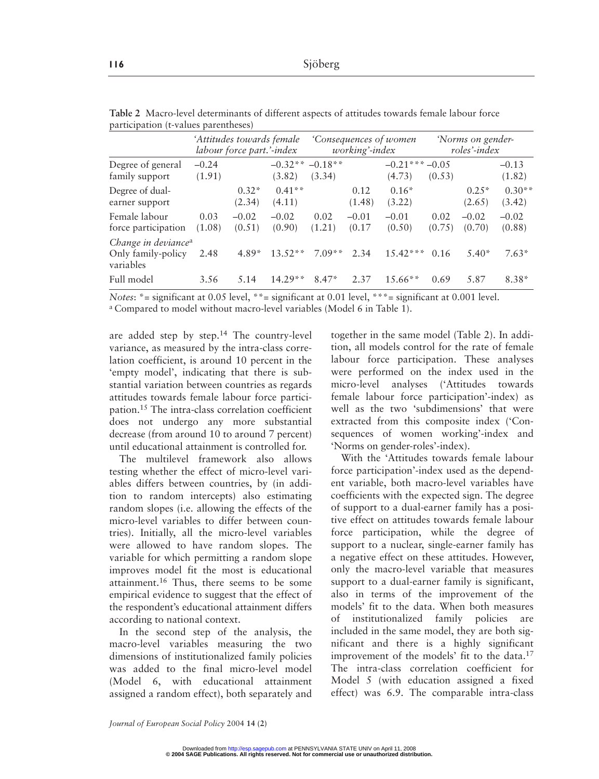|                                                                    |                   | 'Attitudes towards female<br>labour force part.'-index |                     |                     | working'-index    | Consequences of women     | 'Norms on gender-<br>roles'-index |                   |                    |
|--------------------------------------------------------------------|-------------------|--------------------------------------------------------|---------------------|---------------------|-------------------|---------------------------|-----------------------------------|-------------------|--------------------|
| Degree of general<br>family support                                | $-0.24$<br>(1.91) |                                                        | $-0.32**$<br>(3.82) | $-0.18**$<br>(3.34) |                   | $-0.21***-0.05$<br>(4.73) | (0.53)                            |                   | $-0.13$<br>(1.82)  |
| Degree of dual-<br>earner support                                  |                   | $0.32*$<br>(2.34)                                      | $0.41**$<br>(4.11)  |                     | 0.12<br>(1.48)    | $0.16*$<br>(3.22)         |                                   | $0.25*$<br>(2.65) | $0.30**$<br>(3.42) |
| Female labour<br>force participation                               | 0.03<br>(1.08)    | $-0.02$<br>(0.51)                                      | $-0.02$<br>(0.90)   | 0.02<br>(1.21)      | $-0.01$<br>(0.17) | $-0.01$<br>(0.50)         | 0.02<br>(0.75)                    | $-0.02$<br>(0.70) | $-0.02$<br>(0.88)  |
| Change in deviance <sup>a</sup><br>Only family-policy<br>variables | 2.48              | 4.89*                                                  | $13.52**$           | $7.09**$            | 2.34              | $15.42***$                | 0.16                              | $5.40*$           | $7.63*$            |
| Full model                                                         | 3.56              | 5.14                                                   | $14.29**$           | 8.47*               | 2.37              | $15.66**$                 | 0.69                              | 5.87              | 8.38*              |

**Table 2** Macro-level determinants of different aspects of attitudes towards female labour force participation (t-values parentheses)

*Notes*:  $*$  = significant at 0.05 level,  $*$  = significant at 0.01 level,  $*$   $*$  = significant at 0.001 level.

a Compared to model without macro-level variables (Model 6 in Table 1).

are added step by step.<sup>14</sup> The country-level variance, as measured by the intra-class correlation coefficient, is around 10 percent in the 'empty model', indicating that there is substantial variation between countries as regards attitudes towards female labour force participation.15 The intra-class correlation coefficient does not undergo any more substantial decrease (from around 10 to around 7 percent) until educational attainment is controlled for.

The multilevel framework also allows testing whether the effect of micro-level variables differs between countries, by (in addition to random intercepts) also estimating random slopes (i.e. allowing the effects of the micro-level variables to differ between countries). Initially, all the micro-level variables were allowed to have random slopes. The variable for which permitting a random slope improves model fit the most is educational attainment.<sup>16</sup> Thus, there seems to be some empirical evidence to suggest that the effect of the respondent's educational attainment differs according to national context.

In the second step of the analysis, the macro-level variables measuring the two dimensions of institutionalized family policies was added to the final micro-level model (Model 6, with educational attainment assigned a random effect), both separately and together in the same model (Table 2). In addition, all models control for the rate of female labour force participation. These analyses were performed on the index used in the micro-level analyses ('Attitudes towards female labour force participation'-index) as well as the two 'subdimensions' that were extracted from this composite index ('Consequences of women working'-index and 'Norms on gender-roles'-index).

With the 'Attitudes towards female labour force participation'-index used as the dependent variable, both macro-level variables have coefficients with the expected sign. The degree of support to a dual-earner family has a positive effect on attitudes towards female labour force participation, while the degree of support to a nuclear, single-earner family has a negative effect on these attitudes. However, only the macro-level variable that measures support to a dual-earner family is significant, also in terms of the improvement of the models' fit to the data. When both measures of institutionalized family policies are included in the same model, they are both significant and there is a highly significant improvement of the models' fit to the data.17 The intra-class correlation coefficient for Model 5 (with education assigned a fixed effect) was 6.9. The comparable intra-class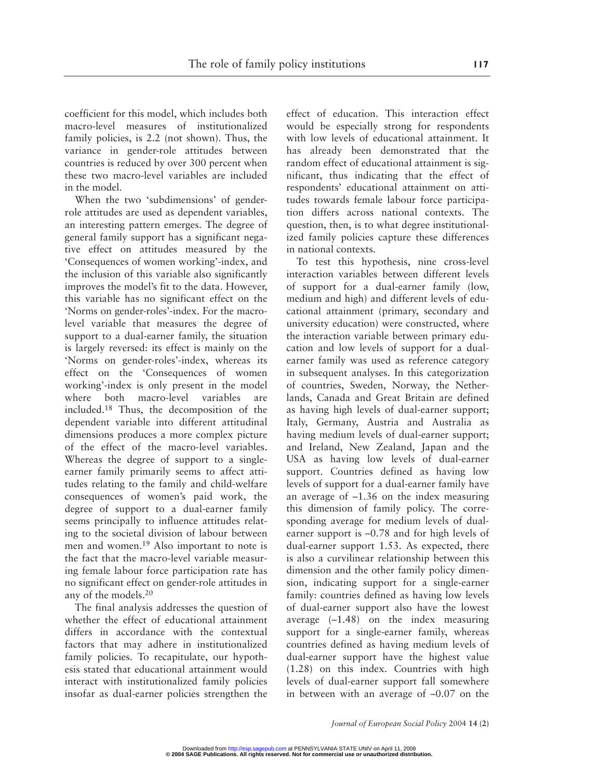coefficient for this model, which includes both macro-level measures of institutionalized family policies, is 2.2 (not shown). Thus, the variance in gender-role attitudes between countries is reduced by over 300 percent when these two macro-level variables are included in the model.

When the two 'subdimensions' of genderrole attitudes are used as dependent variables, an interesting pattern emerges. The degree of general family support has a significant negative effect on attitudes measured by the 'Consequences of women working'-index, and the inclusion of this variable also significantly improves the model's fit to the data. However, this variable has no significant effect on the 'Norms on gender-roles'-index. For the macrolevel variable that measures the degree of support to a dual-earner family, the situation is largely reversed: its effect is mainly on the 'Norms on gender-roles'-index, whereas its effect on the 'Consequences of women working'-index is only present in the model where both macro-level variables are included.18 Thus, the decomposition of the dependent variable into different attitudinal dimensions produces a more complex picture of the effect of the macro-level variables. Whereas the degree of support to a singleearner family primarily seems to affect attitudes relating to the family and child-welfare consequences of women's paid work, the degree of support to a dual-earner family seems principally to influence attitudes relating to the societal division of labour between men and women.19 Also important to note is the fact that the macro-level variable measuring female labour force participation rate has no significant effect on gender-role attitudes in any of the models.20

The final analysis addresses the question of whether the effect of educational attainment differs in accordance with the contextual factors that may adhere in institutionalized family policies. To recapitulate, our hypothesis stated that educational attainment would interact with institutionalized family policies insofar as dual-earner policies strengthen the

effect of education. This interaction effect would be especially strong for respondents with low levels of educational attainment. It has already been demonstrated that the random effect of educational attainment is significant, thus indicating that the effect of respondents' educational attainment on attitudes towards female labour force participation differs across national contexts. The question, then, is to what degree institutionalized family policies capture these differences in national contexts.

To test this hypothesis, nine cross-level interaction variables between different levels of support for a dual-earner family (low, medium and high) and different levels of educational attainment (primary, secondary and university education) were constructed, where the interaction variable between primary education and low levels of support for a dualearner family was used as reference category in subsequent analyses. In this categorization of countries, Sweden, Norway, the Netherlands, Canada and Great Britain are defined as having high levels of dual-earner support; Italy, Germany, Austria and Australia as having medium levels of dual-earner support; and Ireland, New Zealand, Japan and the USA as having low levels of dual-earner support. Countries defined as having low levels of support for a dual-earner family have an average of –1.36 on the index measuring this dimension of family policy. The corresponding average for medium levels of dualearner support is –0.78 and for high levels of dual-earner support 1.53. As expected, there is also a curvilinear relationship between this dimension and the other family policy dimension, indicating support for a single-earner family: countries defined as having low levels of dual-earner support also have the lowest average  $(-1.48)$  on the index measuring support for a single-earner family, whereas countries defined as having medium levels of dual-earner support have the highest value (1.28) on this index. Countries with high levels of dual-earner support fall somewhere in between with an average of –0.07 on the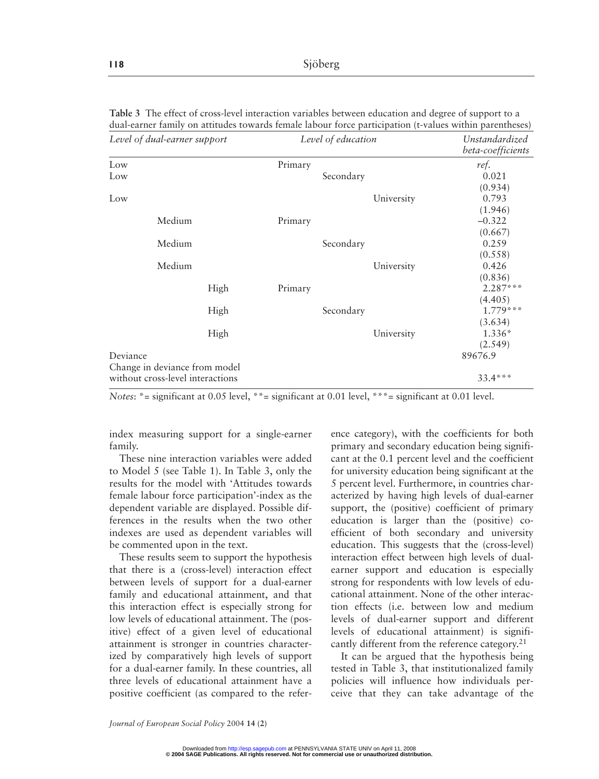| Level of dual-earner support              |                                  |         | Level of education | Unstandardized<br>beta-coefficients |
|-------------------------------------------|----------------------------------|---------|--------------------|-------------------------------------|
| Low                                       |                                  | Primary |                    | ref.                                |
| Low                                       |                                  |         | Secondary          | 0.021                               |
|                                           |                                  |         |                    | (0.934)                             |
| Low                                       |                                  |         | University         | 0.793                               |
|                                           |                                  |         |                    | (1.946)                             |
|                                           | Medium                           | Primary |                    | $-0.322$                            |
|                                           |                                  |         |                    | (0.667)                             |
|                                           | Medium                           |         | Secondary          | 0.259                               |
|                                           |                                  |         |                    | (0.558)                             |
|                                           | Medium                           |         | University         | 0.426                               |
|                                           |                                  |         |                    | (0.836)                             |
|                                           | High                             | Primary |                    | $2.287***$                          |
|                                           |                                  |         |                    | (4.405)                             |
|                                           | High                             |         | Secondary          | $1.779***$                          |
|                                           |                                  |         |                    | (3.634)                             |
|                                           | High                             |         | University         | $1.336*$                            |
|                                           |                                  |         |                    | (2.549)                             |
| Deviance<br>Change in deviance from model |                                  |         |                    | 89676.9                             |
|                                           | without cross-level interactions |         |                    | $33.4***$                           |

**Table 3** The effect of cross-level interaction variables between education and degree of support to a dual-earner family on attitudes towards female labour force participation (t-values within parentheses)

*Notes*: \*= significant at 0.05 level, \*\*= significant at 0.01 level, \*\*\*= significant at 0.01 level.

index measuring support for a single-earner family.

These nine interaction variables were added to Model 5 (see Table 1). In Table 3, only the results for the model with 'Attitudes towards female labour force participation'-index as the dependent variable are displayed. Possible differences in the results when the two other indexes are used as dependent variables will be commented upon in the text.

These results seem to support the hypothesis that there is a (cross-level) interaction effect between levels of support for a dual-earner family and educational attainment, and that this interaction effect is especially strong for low levels of educational attainment. The (positive) effect of a given level of educational attainment is stronger in countries characterized by comparatively high levels of support for a dual-earner family. In these countries, all three levels of educational attainment have a positive coefficient (as compared to the reference category), with the coefficients for both primary and secondary education being significant at the 0.1 percent level and the coefficient for university education being significant at the 5 percent level. Furthermore, in countries characterized by having high levels of dual-earner support, the (positive) coefficient of primary education is larger than the (positive) coefficient of both secondary and university education. This suggests that the (cross-level) interaction effect between high levels of dualearner support and education is especially strong for respondents with low levels of educational attainment. None of the other interaction effects (i.e. between low and medium levels of dual-earner support and different levels of educational attainment) is significantly different from the reference category.21

It can be argued that the hypothesis being tested in Table 3, that institutionalized family policies will influence how individuals perceive that they can take advantage of the

**© 2004 SAGE Publications. All rights reserved. Not for commercial use or unauthorized distribution.** Downloaded from<http://esp.sagepub.com>at PENNSYLVANIA STATE UNIV on April 11, 2008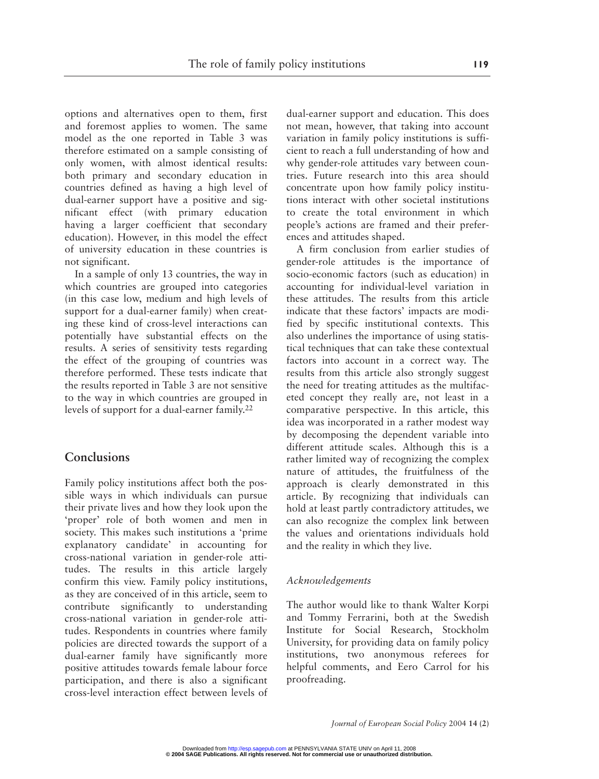options and alternatives open to them, first and foremost applies to women. The same model as the one reported in Table 3 was therefore estimated on a sample consisting of only women, with almost identical results: both primary and secondary education in countries defined as having a high level of dual-earner support have a positive and significant effect (with primary education having a larger coefficient that secondary education). However, in this model the effect of university education in these countries is not significant.

In a sample of only 13 countries, the way in which countries are grouped into categories (in this case low, medium and high levels of support for a dual-earner family) when creating these kind of cross-level interactions can potentially have substantial effects on the results. A series of sensitivity tests regarding the effect of the grouping of countries was therefore performed. These tests indicate that the results reported in Table 3 are not sensitive to the way in which countries are grouped in levels of support for a dual-earner family.22

#### **Conclusions**

Family policy institutions affect both the possible ways in which individuals can pursue their private lives and how they look upon the 'proper' role of both women and men in society. This makes such institutions a 'prime explanatory candidate' in accounting for cross-national variation in gender-role attitudes. The results in this article largely confirm this view. Family policy institutions, as they are conceived of in this article, seem to contribute significantly to understanding cross-national variation in gender-role attitudes. Respondents in countries where family policies are directed towards the support of a dual-earner family have significantly more positive attitudes towards female labour force participation, and there is also a significant cross-level interaction effect between levels of dual-earner support and education. This does not mean, however, that taking into account variation in family policy institutions is sufficient to reach a full understanding of how and why gender-role attitudes vary between countries. Future research into this area should concentrate upon how family policy institutions interact with other societal institutions to create the total environment in which people's actions are framed and their preferences and attitudes shaped.

A firm conclusion from earlier studies of gender-role attitudes is the importance of socio-economic factors (such as education) in accounting for individual-level variation in these attitudes. The results from this article indicate that these factors' impacts are modified by specific institutional contexts. This also underlines the importance of using statistical techniques that can take these contextual factors into account in a correct way. The results from this article also strongly suggest the need for treating attitudes as the multifaceted concept they really are, not least in a comparative perspective. In this article, this idea was incorporated in a rather modest way by decomposing the dependent variable into different attitude scales. Although this is a rather limited way of recognizing the complex nature of attitudes, the fruitfulness of the approach is clearly demonstrated in this article. By recognizing that individuals can hold at least partly contradictory attitudes, we can also recognize the complex link between the values and orientations individuals hold and the reality in which they live.

#### *Acknowledgements*

The author would like to thank Walter Korpi and Tommy Ferrarini, both at the Swedish Institute for Social Research, Stockholm University, for providing data on family policy institutions, two anonymous referees for helpful comments, and Eero Carrol for his proofreading.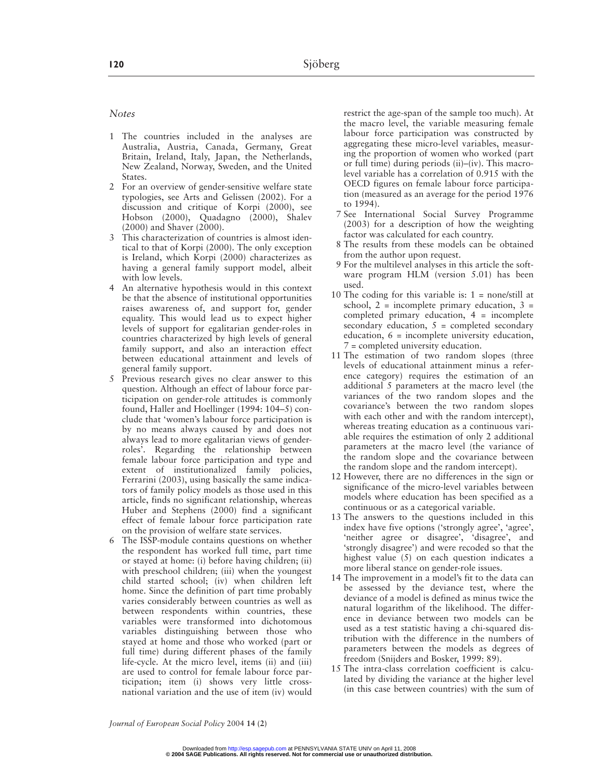#### *Notes*

- 1 The countries included in the analyses are Australia, Austria, Canada, Germany, Great Britain, Ireland, Italy, Japan, the Netherlands, New Zealand, Norway, Sweden, and the United States.
- 2 For an overview of gender-sensitive welfare state typologies, see Arts and Gelissen (2002). For a discussion and critique of Korpi (2000), see Hobson (2000), Quadagno (2000), Shalev (2000) and Shaver (2000).
- 3 This characterization of countries is almost identical to that of Korpi (2000). The only exception is Ireland, which Korpi (2000) characterizes as having a general family support model, albeit with low levels.
- 4 An alternative hypothesis would in this context be that the absence of institutional opportunities raises awareness of, and support for, gender equality. This would lead us to expect higher levels of support for egalitarian gender-roles in countries characterized by high levels of general family support, and also an interaction effect between educational attainment and levels of general family support.
- 5 Previous research gives no clear answer to this question. Although an effect of labour force participation on gender-role attitudes is commonly found, Haller and Hoellinger (1994: 104–5) conclude that 'women's labour force participation is by no means always caused by and does not always lead to more egalitarian views of genderroles'. Regarding the relationship between female labour force participation and type and extent of institutionalized family policies, Ferrarini (2003), using basically the same indicators of family policy models as those used in this article, finds no significant relationship, whereas Huber and Stephens (2000) find a significant effect of female labour force participation rate on the provision of welfare state services.
- 6 The ISSP-module contains questions on whether the respondent has worked full time, part time or stayed at home: (i) before having children; (ii) with preschool children; (iii) when the youngest child started school; (iv) when children left home. Since the definition of part time probably varies considerably between countries as well as between respondents within countries, these variables were transformed into dichotomous variables distinguishing between those who stayed at home and those who worked (part or full time) during different phases of the family life-cycle. At the micro level, items (ii) and (iii) are used to control for female labour force participation; item (i) shows very little crossnational variation and the use of item (iv) would

restrict the age-span of the sample too much). At the macro level, the variable measuring female labour force participation was constructed by aggregating these micro-level variables, measuring the proportion of women who worked (part or full time) during periods (ii)–(iv). This macrolevel variable has a correlation of 0.915 with the OECD figures on female labour force participation (measured as an average for the period 1976 to 1994).

- 7 See International Social Survey Programme (2003) for a description of how the weighting factor was calculated for each country.
- 8 The results from these models can be obtained from the author upon request.
- 9 For the multilevel analyses in this article the software program HLM (version 5.01) has been used.
- 10 The coding for this variable is:  $1 =$  none/still at school,  $2 =$  incomplete primary education,  $3 =$ completed primary education, 4 = incomplete secondary education,  $5 =$  completed secondary education, 6 = incomplete university education, 7 = completed university education.
- 11 The estimation of two random slopes (three levels of educational attainment minus a reference category) requires the estimation of an additional 5 parameters at the macro level (the variances of the two random slopes and the covariance's between the two random slopes with each other and with the random intercept), whereas treating education as a continuous variable requires the estimation of only 2 additional parameters at the macro level (the variance of the random slope and the covariance between the random slope and the random intercept).
- 12 However, there are no differences in the sign or significance of the micro-level variables between models where education has been specified as a continuous or as a categorical variable.
- 13 The answers to the questions included in this index have five options ('strongly agree', 'agree', 'neither agree or disagree', 'disagree', and 'strongly disagree') and were recoded so that the highest value (5) on each question indicates a more liberal stance on gender-role issues.
- 14 The improvement in a model's fit to the data can be assessed by the deviance test, where the deviance of a model is defined as minus twice the natural logarithm of the likelihood. The difference in deviance between two models can be used as a test statistic having a chi-squared distribution with the difference in the numbers of parameters between the models as degrees of freedom (Snijders and Bosker, 1999: 89).
- 15 The intra-class correlation coefficient is calculated by dividing the variance at the higher level (in this case between countries) with the sum of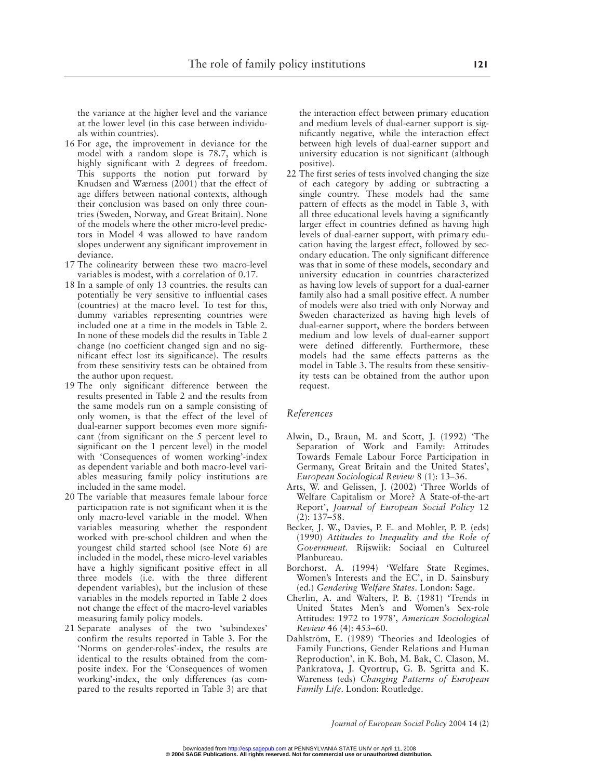the variance at the higher level and the variance at the lower level (in this case between individuals within countries).

- 16 For age, the improvement in deviance for the model with a random slope is 78.7, which is highly significant with 2 degrees of freedom. This supports the notion put forward by Knudsen and Wærness (2001) that the effect of age differs between national contexts, although their conclusion was based on only three countries (Sweden, Norway, and Great Britain). None of the models where the other micro-level predictors in Model 4 was allowed to have random slopes underwent any significant improvement in deviance.
- 17 The colinearity between these two macro-level variables is modest, with a correlation of 0.17.
- 18 In a sample of only 13 countries, the results can potentially be very sensitive to influential cases (countries) at the macro level. To test for this, dummy variables representing countries were included one at a time in the models in Table 2. In none of these models did the results in Table 2 change (no coefficient changed sign and no significant effect lost its significance). The results from these sensitivity tests can be obtained from the author upon request.
- 19 The only significant difference between the results presented in Table 2 and the results from the same models run on a sample consisting of only women, is that the effect of the level of dual-earner support becomes even more significant (from significant on the 5 percent level to significant on the 1 percent level) in the model with 'Consequences of women working'-index as dependent variable and both macro-level variables measuring family policy institutions are included in the same model.
- 20 The variable that measures female labour force participation rate is not significant when it is the only macro-level variable in the model. When variables measuring whether the respondent worked with pre-school children and when the youngest child started school (see Note 6) are included in the model, these micro-level variables have a highly significant positive effect in all three models (i.e. with the three different dependent variables), but the inclusion of these variables in the models reported in Table 2 does not change the effect of the macro-level variables measuring family policy models.
- 21 Separate analyses of the two 'subindexes' confirm the results reported in Table 3. For the 'Norms on gender-roles'-index, the results are identical to the results obtained from the composite index. For the 'Consequences of women working'-index, the only differences (as compared to the results reported in Table 3) are that

the interaction effect between primary education and medium levels of dual-earner support is significantly negative, while the interaction effect between high levels of dual-earner support and university education is not significant (although positive).

22 The first series of tests involved changing the size of each category by adding or subtracting a single country. These models had the same pattern of effects as the model in Table 3, with all three educational levels having a significantly larger effect in countries defined as having high levels of dual-earner support, with primary education having the largest effect, followed by secondary education. The only significant difference was that in some of these models, secondary and university education in countries characterized as having low levels of support for a dual-earner family also had a small positive effect. A number of models were also tried with only Norway and Sweden characterized as having high levels of dual-earner support, where the borders between medium and low levels of dual-earner support were defined differently. Furthermore, these models had the same effects patterns as the model in Table 3. The results from these sensitivity tests can be obtained from the author upon request.

#### *References*

- Alwin, D., Braun, M. and Scott, J. (1992) 'The Separation of Work and Family: Attitudes Towards Female Labour Force Participation in Germany, Great Britain and the United States', *European Sociological Review* 8 (1): 13–36.
- Arts, W. and Gelissen, J. (2002) 'Three Worlds of Welfare Capitalism or More? A State-of-the-art Report', *Journal of European Social Policy* 12  $(2): 137 - 58.$
- Becker, J. W., Davies, P. E. and Mohler, P. P. (eds) (1990) *Attitudes to Inequality and the Role of Government.* Rijswiik: Sociaal en Cultureel Planbureau.
- Borchorst, A. (1994) 'Welfare State Regimes, Women's Interests and the EC', in D. Sainsbury (ed.) *Gendering Welfare States*. London: Sage.
- Cherlin, A. and Walters, P. B. (1981) 'Trends in United States Men's and Women's Sex-role Attitudes: 1972 to 1978', *American Sociological Review* 46 (4): 453–60.
- Dahlström, E. (1989) 'Theories and Ideologies of Family Functions, Gender Relations and Human Reproduction', in K. Boh, M. Bak, C. Clason, M. Pankratova, J. Qvortrup, G. B. Sgritta and K. Wareness (eds) *Changing Patterns of European Family Life*. London: Routledge.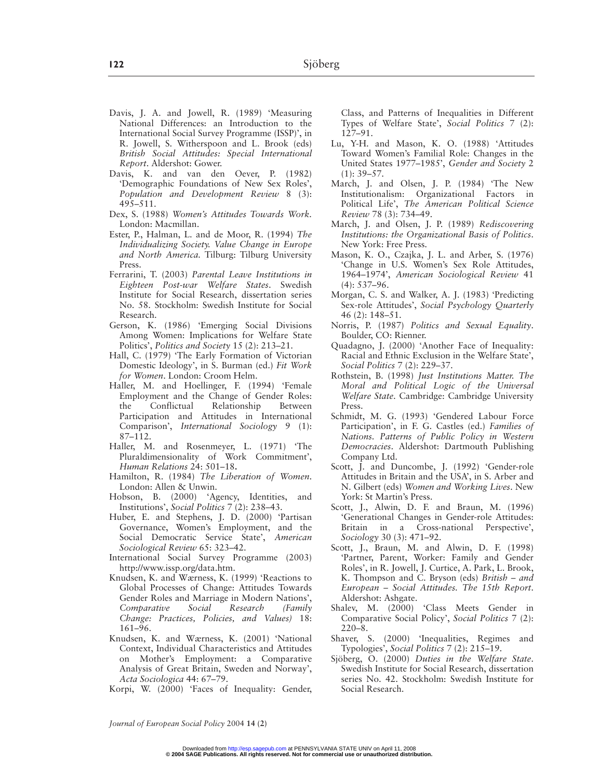- Davis, J. A. and Jowell, R. (1989) 'Measuring National Differences: an Introduction to the International Social Survey Programme (ISSP)', in R. Jowell, S. Witherspoon and L. Brook (eds) *British Social Attitudes: Special International Report*. Aldershot: Gower.
- Davis, K. and van den Oever, P. (1982) 'Demographic Foundations of New Sex Roles', *Population and Development Review* 8 (3): 495–511.
- Dex, S. (1988) *Women's Attitudes Towards Work.* London: Macmillan.
- Ester, P., Halman, L. and de Moor, R. (1994) *The Individualizing Society. Value Change in Europe and North America.* Tilburg: Tilburg University Press.
- Ferrarini, T. (2003) *Parental Leave Institutions in Eighteen Post-war Welfare States*. Swedish Institute for Social Research, dissertation series No. 58. Stockholm: Swedish Institute for Social Research.
- Gerson, K. (1986) 'Emerging Social Divisions Among Women: Implications for Welfare State Politics', *Politics and Society* 15 (2): 213–21.
- Hall, C. (1979) 'The Early Formation of Victorian Domestic Ideology', in S. Burman (ed.) *Fit Work for Women*. London: Croom Helm.
- Haller, M. and Hoellinger, F. (1994) 'Female Employment and the Change of Gender Roles:<br>the Conflictual Relationship Between the Conflictual Relationship Between Participation and Attitudes in International Comparison', *International Sociology* 9 (1): 87–112.
- Haller, M. and Rosenmeyer, L. (1971) 'The Pluraldimensionality of Work Commitment', *Human Relations* 24: 501–18**.**
- Hamilton, R. (1984) *The Liberation of Women*. London: Allen & Unwin.
- Hobson, B. (2000) 'Agency, Identities, and Institutions', *Social Politics* 7 (2): 238–43.
- Huber, E. and Stephens, J. D. (2000) 'Partisan Governance, Women's Employment, and the Social Democratic Service State', *American Sociological Review* 65: 323–42.
- International Social Survey Programme (2003) http://www.issp.org/data.htm.
- Knudsen, K. and Wærness, K. (1999) 'Reactions to Global Processes of Change: Attitudes Towards Gender Roles and Marriage in Modern Nations',<br>Comparative Social Research (Family *Comparative Social* Research *Change: Practices, Policies, and Values)* 18: 161–96.
- Knudsen, K. and Wærness, K. (2001) 'National Context, Individual Characteristics and Attitudes on Mother's Employment: a Comparative Analysis of Great Britain, Sweden and Norway', *Acta Sociologica* 44: 67–79.
- Korpi, W. (2000) 'Faces of Inequality: Gender,

Class, and Patterns of Inequalities in Different Types of Welfare State', *Social Politics* 7 (2):  $127 - 91$ .

- Lu, Y-H. and Mason, K. O. (1988) 'Attitudes Toward Women's Familial Role: Changes in the United States 1977–1985', *Gender and Society* 2 (1): 39–57.
- March, J. and Olsen, J. P. (1984) 'The New Institutionalism: Organizational Factors in Political Life', *The American Political Science Review* 78 (3): 734–49.
- March, J. and Olsen, J. P. (1989) *Rediscovering Institutions: the Organizational Basis of Politics*. New York: Free Press.
- Mason, K. O., Czajka, J. L. and Arber, S. (1976) 'Change in U.S. Women's Sex Role Attitudes, 1964–1974', *American Sociological Review* 41 (4): 537–96.
- Morgan, C. S. and Walker, A. J. (1983) 'Predicting Sex-role Attitudes', *Social Psychology Quarterly* 46 (2): 148–51.
- Norris, P. (1987) *Politics and Sexual Equality*. Boulder, CO: Rienner.
- Quadagno, J. (2000) 'Another Face of Inequality: Racial and Ethnic Exclusion in the Welfare State', *Social Politics* 7 (2): 229–37.
- Rothstein, B. (1998) *Just Institutions Matter. The Moral and Political Logic of the Universal Welfare State*. Cambridge: Cambridge University Press.
- Schmidt, M. G. (1993) 'Gendered Labour Force Participation', in F. G. Castles (ed.) *Families of Nations. Patterns of Public Policy in Western Democracies*. Aldershot: Dartmouth Publishing Company Ltd.
- Scott, J. and Duncombe, J. (1992) 'Gender-role Attitudes in Britain and the USA', in S. Arber and N. Gilbert (eds) *Women and Working Lives*. New York: St Martin's Press.
- Scott, J., Alwin, D. F. and Braun, M. (1996) 'Generational Changes in Gender-role Attitudes: Britain in a Cross-national Perspective', *Sociology* 30 (3): 471–92.
- Scott, J., Braun, M. and Alwin, D. F. (1998) 'Partner, Parent, Worker: Family and Gender Roles', in R. Jowell, J. Curtice, A. Park, L. Brook, K. Thompson and C. Bryson (eds) *British – and European – Social Attitudes. The 15th Report*. Aldershot: Ashgate.
- Shalev, M. (2000) 'Class Meets Gender in Comparative Social Policy', *Social Politics* 7 (2): 220–8.
- Shaver, S. (2000) 'Inequalities, Regimes and Typologies', *Social Politics* 7 (2): 215–19.
- Sjöberg, O. (2000) *Duties in the Welfare State*. Swedish Institute for Social Research, dissertation series No. 42. Stockholm: Swedish Institute for Social Research.